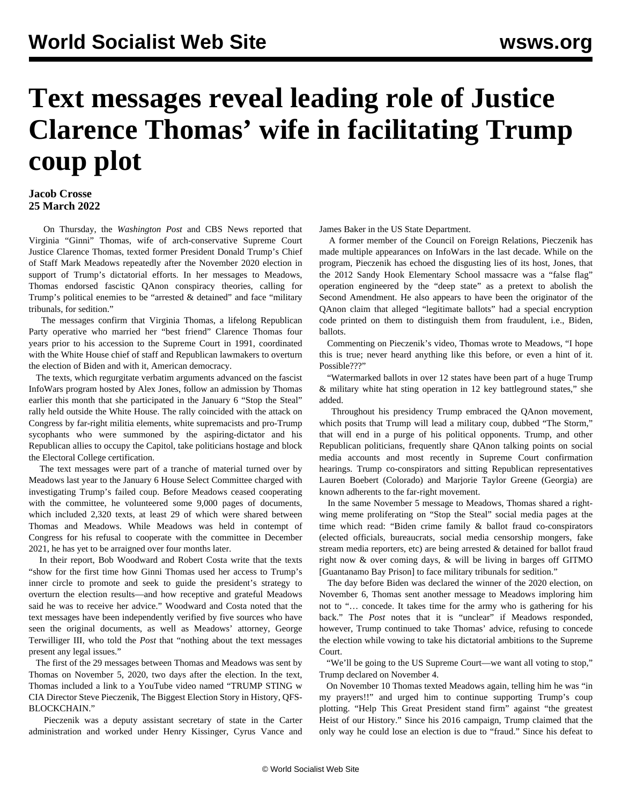## **Text messages reveal leading role of Justice Clarence Thomas' wife in facilitating Trump coup plot**

## **Jacob Crosse 25 March 2022**

 On Thursday, the *Washington Post* and CBS News reported that Virginia "Ginni" Thomas, wife of arch-conservative Supreme Court Justice Clarence Thomas, texted former President Donald Trump's Chief of Staff Mark Meadows repeatedly after the November 2020 election in support of Trump's dictatorial efforts. In her messages to Meadows, Thomas endorsed fascistic QAnon conspiracy theories, calling for Trump's political enemies to be "arrested & detained" and face "military tribunals, for sedition."

 The messages confirm that Virginia Thomas, a lifelong Republican Party operative who married her "best friend" Clarence Thomas four years prior to his accession to the Supreme Court in 1991, coordinated with the White House chief of staff and Republican lawmakers to overturn the election of Biden and with it, American democracy.

 The texts, which regurgitate verbatim arguments advanced on the fascist InfoWars program hosted by [Alex Jones,](/en/articles/2021/11/25/coup-n25.html) follow an admission by Thomas [earlier this month](/en/articles/2022/03/16/thom-m16.html) that she participated in the January 6 "Stop the Steal" rally held outside the White House. The rally coincided with the attack on Congress by far-right militia elements, white supremacists and pro-Trump sycophants who were summoned by the aspiring-dictator and his Republican allies to occupy the Capitol, take politicians hostage and block the Electoral College certification.

 The text messages were part of a tranche of material turned over by Meadows last year to the January 6 House Select Committee charged with investigating Trump's failed coup. Before Meadows ceased cooperating with the committee, he volunteered some 9,000 pages of documents, which included 2,320 texts, at least 29 of which were shared between Thomas and Meadows. While Meadows was held in contempt of Congress for his refusal to cooperate with the committee in December 2021, he has yet to be arraigned over four months later.

 In their report, Bob Woodward and Robert Costa write that the texts "show for the first time how Ginni Thomas used her access to Trump's inner circle to promote and seek to guide the president's strategy to overturn the election results—and how receptive and grateful Meadows said he was to receive her advice." Woodward and Costa noted that the text messages have been independently verified by five sources who have seen the original documents, as well as Meadows' attorney, George Terwilliger III, who told the *Post* that "nothing about the text messages present any legal issues."

 The first of the 29 messages between Thomas and Meadows was sent by Thomas on November 5, 2020, two days after the election. In the text, Thomas included a link to a YouTube video named "TRUMP STING w CIA Director Steve Pieczenik, The Biggest Election Story in History, QFS-BLOCKCHAIN."

 Pieczenik was a deputy assistant secretary of state in the Carter administration and worked under Henry Kissinger, Cyrus Vance and James Baker in the US State Department.

 A former member of the Council on Foreign Relations, Pieczenik has made multiple appearances on InfoWars in the last decade. While on the program, Pieczenik has echoed the disgusting lies of its host, Jones, that the 2012 Sandy Hook Elementary School massacre was a "false flag" operation engineered by the "deep state" as a pretext to abolish the Second Amendment. He also appears to have been the originator of the QAnon claim that alleged "legitimate ballots" had a special encryption code printed on them to distinguish them from fraudulent, i.e., Biden, ballots.

 Commenting on Pieczenik's video, Thomas wrote to Meadows, "I hope this is true; never heard anything like this before, or even a hint of it. Possible???"

 "Watermarked ballots in over 12 states have been part of a huge Trump & military white hat sting operation in 12 key battleground states," she added.

 Throughout his presidency Trump [embraced the QAnon](/en/articles/2020/08/25/qano-a25.html) movement, which posits that Trump will lead a military coup, dubbed "The Storm," that will end in a purge of his political opponents. Trump, and other Republican politicians, frequently share QAnon talking points on social media accounts and most recently in Supreme Court [confirmation](/en/articles/2022/03/24/jack-m24.html) hearings. Trump co-conspirators and sitting Republican representatives Lauren Boebert (Colorado) and Marjorie Taylor Greene (Georgia) are known adherents to the far-right movement.

 In the same November 5 message to Meadows, Thomas shared a rightwing meme proliferating on "Stop the Steal" social media pages at the time which read: "Biden crime family & ballot fraud co-conspirators (elected officials, bureaucrats, social media censorship mongers, fake stream media reporters, etc) are being arrested & detained for ballot fraud right now & over coming days, & will be living in barges off GITMO [Guantanamo Bay Prison] to face military tribunals for sedition."

 The day before Biden was declared the winner of the 2020 election, on November 6, Thomas sent another message to Meadows imploring him not to "… concede. It takes time for the army who is gathering for his back." The *Post* notes that it is "unclear" if Meadows responded, however, Trump continued to take Thomas' advice, refusing to concede the election while vowing to take his dictatorial ambitions to the Supreme Court.

 "We'll be going to the US Supreme Court—we want all voting to stop," Trump declared on November 4.

 On November 10 Thomas texted Meadows again, telling him he was "in my prayers!!" and urged him to continue supporting Trump's coup plotting. "Help This Great President stand firm" against "the greatest Heist of our History." Since his 2016 campaign, Trump claimed that the only way he could lose an election is due to "fraud." Since his defeat to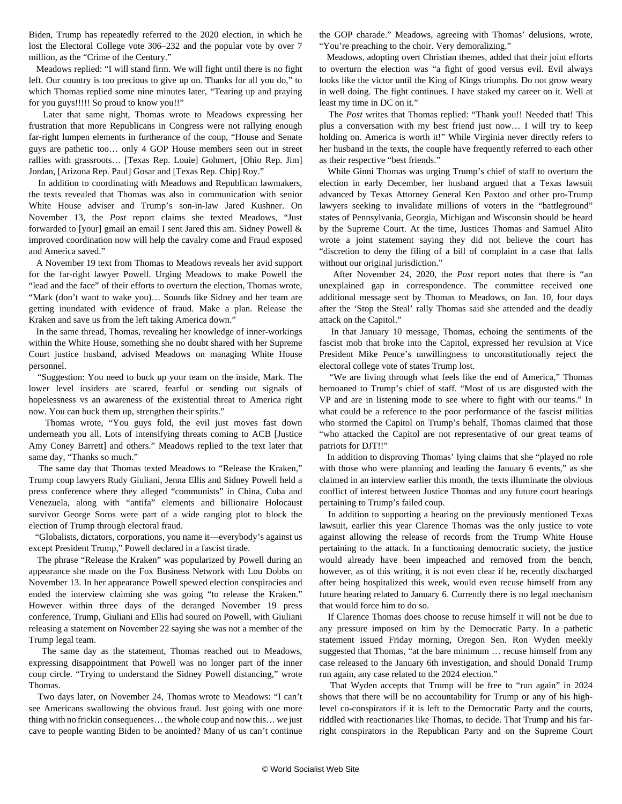Biden, Trump has repeatedly referred to the 2020 election, in which he lost the Electoral College vote 306–232 and the popular vote by over 7 million, as the "Crime of the Century."

 Meadows replied: "I will stand firm. We will fight until there is no fight left. Our country is too precious to give up on. Thanks for all you do," to which Thomas replied some nine minutes later, "Tearing up and praying for you guys!!!!! So proud to know you!!"

 Later that same night, Thomas wrote to Meadows expressing her frustration that more Republicans in Congress were not rallying enough far-right lumpen elements in furtherance of the coup, "House and Senate guys are pathetic too… only 4 GOP House members seen out in street rallies with grassroots… [Texas Rep. Louie] Gohmert, [Ohio Rep. Jim] Jordan, [Arizona Rep. Paul] Gosar and [Texas Rep. Chip] Roy."

 In addition to coordinating with Meadows and Republican lawmakers, the texts revealed that Thomas was also in communication with senior White House adviser and Trump's son-in-law Jared Kushner. On November 13, the *Post* report claims she texted Meadows, "Just forwarded to [your] gmail an email I sent Jared this am. Sidney Powell & improved coordination now will help the cavalry come and Fraud exposed and America saved."

 A November 19 text from Thomas to Meadows reveals her avid support for the far-right lawyer Powell. Urging Meadows to make Powell the "lead and the face" of their efforts to overturn the election, Thomas wrote, "Mark (don't want to wake you)... Sounds like Sidney and her team are getting inundated with evidence of fraud. Make a plan. Release the Kraken and save us from the left taking America down."

 In the same thread, Thomas, revealing her knowledge of inner-workings within the White House, something she no doubt shared with her Supreme Court justice husband, advised Meadows on managing White House personnel.

 "Suggestion: You need to buck up your team on the inside, Mark. The lower level insiders are scared, fearful or sending out signals of hopelessness vs an awareness of the existential threat to America right now. You can buck them up, strengthen their spirits."

 Thomas wrote, "You guys fold, the evil just moves fast down underneath you all. Lots of intensifying threats coming to ACB [Justice Amy Coney Barrett] and others." Meadows replied to the text later that same day, "Thanks so much."

 The same day that Thomas texted Meadows to "Release the Kraken," Trump coup lawyers Rudy Giuliani, Jenna Ellis and Sidney Powell held a press conference where they alleged "communists" in China, Cuba and Venezuela, along with "antifa" elements and billionaire Holocaust survivor George Soros were part of a wide ranging plot to block the election of Trump through electoral fraud.

 "Globalists, dictators, corporations, you name it—everybody's against us except President Trump," Powell declared in a fascist tirade.

 The phrase "Release the Kraken" was popularized by Powell during an appearance she made on the Fox Business Network with Lou Dobbs on November 13. In her appearance Powell spewed election conspiracies and ended the interview claiming she was going "to release the Kraken." However within three days of the deranged November 19 press conference, Trump, Giuliani and Ellis had soured on Powell, with Giuliani releasing a statement on November 22 saying she was not a member of the Trump legal team.

 The same day as the statement, Thomas reached out to Meadows, expressing disappointment that Powell was no longer part of the inner coup circle. "Trying to understand the Sidney Powell distancing," wrote Thomas.

 Two days later, on November 24, Thomas wrote to Meadows: "I can't see Americans swallowing the obvious fraud. Just going with one more thing with no frickin consequences… the whole coup and now this… we just cave to people wanting Biden to be anointed? Many of us can't continue

the GOP charade." Meadows, agreeing with Thomas' delusions, wrote, "You're preaching to the choir. Very demoralizing."

 Meadows, adopting overt Christian themes, added that their joint efforts to overturn the election was "a fight of good versus evil. Evil always looks like the victor until the King of Kings triumphs. Do not grow weary in well doing. The fight continues. I have staked my career on it. Well at least my time in DC on it."

 The *Post* writes that Thomas replied: "Thank you!! Needed that! This plus a conversation with my best friend just now… I will try to keep holding on. America is worth it!" While Virginia never directly refers to her husband in the texts, the couple have frequently referred to each other as their respective "best friends."

 While Ginni Thomas was urging Trump's chief of staff to overturn the election in early December, her husband argued that a Texas lawsuit advanced by Texas Attorney General Ken Paxton and other pro-Trump lawyers seeking to invalidate millions of voters in the "battleground" states of Pennsylvania, Georgia, Michigan and Wisconsin should be heard by the Supreme Court. At the time, Justices Thomas and Samuel Alito wrote a joint statement saying they did not believe the court has "discretion to deny the filing of a bill of complaint in a case that falls without our original jurisdiction."

 After November 24, 2020, the *Post* report notes that there is "an unexplained gap in correspondence. The committee received one additional message sent by Thomas to Meadows, on Jan. 10, four days after the 'Stop the Steal' rally Thomas said she attended and the deadly attack on the Capitol."

 In that January 10 message, Thomas, echoing the sentiments of the fascist mob that broke into the Capitol, expressed her revulsion at Vice President Mike Pence's unwillingness to unconstitutionally reject the electoral college vote of states Trump lost.

 "We are living through what feels like the end of America," Thomas bemoaned to Trump's chief of staff. "Most of us are disgusted with the VP and are in listening mode to see where to fight with our teams." In what could be a reference to the poor performance of the fascist militias who stormed the Capitol on Trump's behalf, Thomas claimed that those "who attacked the Capitol are not representative of our great teams of patriots for DJT!!"

 In addition to disproving Thomas' lying claims that she "played no role with those who were planning and leading the January 6 events," as she claimed in an interview earlier this month, the texts illuminate the obvious conflict of interest between Justice Thomas and any future court hearings pertaining to Trump's failed coup.

 In addition to supporting a hearing on the previously mentioned Texas lawsuit, earlier this year Clarence Thomas was the only justice to vote against allowing the release of records from the Trump White House pertaining to the attack. In a functioning democratic society, the justice would already have been impeached and removed from the bench, however, as of this writing, it is not even clear if he, recently discharged after being hospitalized this week, would even recuse himself from any future hearing related to January 6. Currently there is no legal mechanism that would force him to do so.

 If Clarence Thomas does choose to recuse himself it will not be due to any pressure imposed on him by the Democratic Party. In a pathetic statement issued Friday morning, Oregon Sen. Ron Wyden meekly suggested that Thomas, "at the bare minimum … recuse himself from any case released to the January 6th investigation, and should Donald Trump run again, any case related to the 2024 election."

 That Wyden accepts that Trump will be free to "run again" in 2024 shows that there will be no accountability for Trump or any of his highlevel co-conspirators if it is left to the Democratic Party and the courts, riddled with reactionaries like Thomas, to decide. That Trump and his farright conspirators in the Republican Party and on the Supreme Court